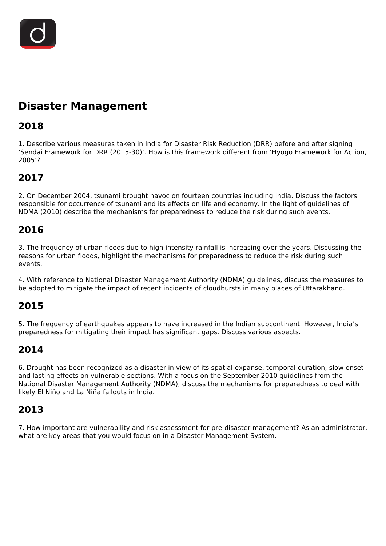

# **Disaster Management**

# **2018**

1. Describe various measures taken in India for Disaster Risk Reduction (DRR) before and after signing 'Sendai Framework for DRR (2015-30)'. How is this framework different from 'Hyogo Framework for Action, 2005'?

# **2017**

2. On December 2004, tsunami brought havoc on fourteen countries including India. Discuss the factors responsible for occurrence of tsunami and its effects on life and economy. In the light of guidelines of NDMA (2010) describe the mechanisms for preparedness to reduce the risk during such events.

### **2016**

3. The frequency of urban floods due to high intensity rainfall is increasing over the years. Discussing the reasons for urban floods, highlight the mechanisms for preparedness to reduce the risk during such events.

4. With reference to National Disaster Management Authority (NDMA) guidelines, discuss the measures to be adopted to mitigate the impact of recent incidents of cloudbursts in many places of Uttarakhand.

### **2015**

5. The frequency of earthquakes appears to have increased in the Indian subcontinent. However, India's preparedness for mitigating their impact has significant gaps. Discuss various aspects.

### **2014**

6. Drought has been recognized as a disaster in view of its spatial expanse, temporal duration, slow onset and lasting effects on vulnerable sections. With a focus on the September 2010 guidelines from the National Disaster Management Authority (NDMA), discuss the mechanisms for preparedness to deal with likely El Niño and La Niña fallouts in India.

### **2013**

7. How important are vulnerability and risk assessment for pre-disaster management? As an administrator, what are key areas that you would focus on in a Disaster Management System.